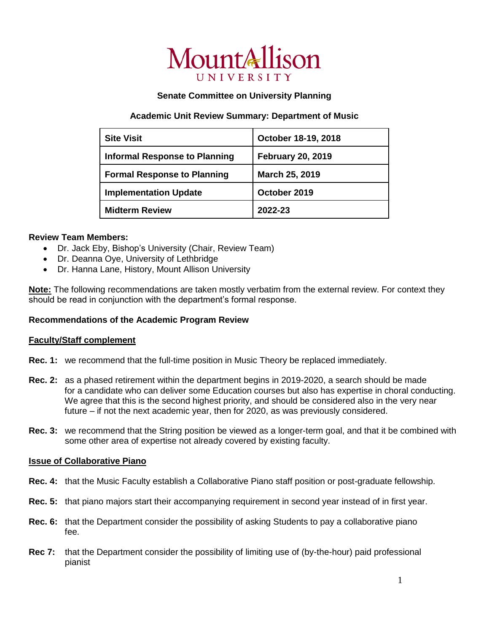# MountAllison **UNIVERSI**

## **Senate Committee on University Planning**

## **Academic Unit Review Summary: Department of Music**

| <b>Site Visit</b>                    | October 18-19, 2018      |
|--------------------------------------|--------------------------|
| <b>Informal Response to Planning</b> | <b>February 20, 2019</b> |
| <b>Formal Response to Planning</b>   | March 25, 2019           |
| <b>Implementation Update</b>         | October 2019             |
| <b>Midterm Review</b>                | 2022-23                  |

## **Review Team Members:**

- Dr. Jack Eby, Bishop's University (Chair, Review Team)
- Dr. Deanna Oye, University of Lethbridge
- Dr. Hanna Lane, History, Mount Allison University

**Note:** The following recommendations are taken mostly verbatim from the external review. For context they should be read in conjunction with the department's formal response.

# **Recommendations of the Academic Program Review**

## **Faculty/Staff complement**

- **Rec. 1:** we recommend that the full-time position in Music Theory be replaced immediately.
- **Rec. 2:** as a phased retirement within the department begins in 2019-2020, a search should be made for a candidate who can deliver some Education courses but also has expertise in choral conducting. We agree that this is the second highest priority, and should be considered also in the very near future – if not the next academic year, then for 2020, as was previously considered.
- **Rec. 3:** we recommend that the String position be viewed as a longer-term goal, and that it be combined with some other area of expertise not already covered by existing faculty.

## **Issue of Collaborative Piano**

- **Rec. 4:** that the Music Faculty establish a Collaborative Piano staff position or post-graduate fellowship.
- **Rec. 5:** that piano majors start their accompanying requirement in second year instead of in first year.
- **Rec. 6:** that the Department consider the possibility of asking Students to pay a collaborative piano fee.
- **Rec 7:** that the Department consider the possibility of limiting use of (by-the-hour) paid professional pianist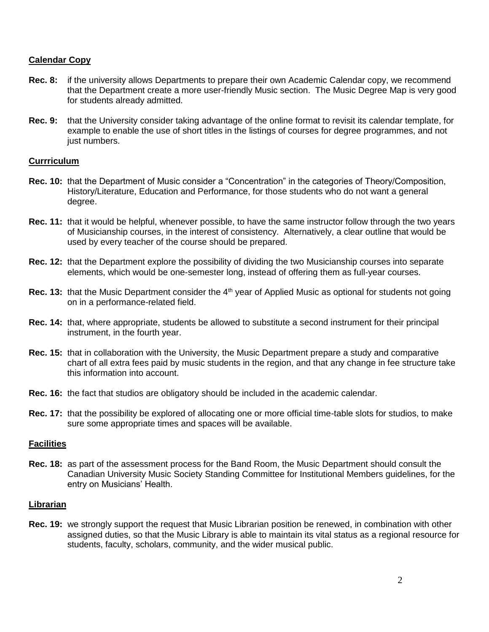# **Calendar Copy**

- **Rec. 8:** if the university allows Departments to prepare their own Academic Calendar copy, we recommend that the Department create a more user-friendly Music section. The Music Degree Map is very good for students already admitted.
- **Rec. 9:** that the University consider taking advantage of the online format to revisit its calendar template, for example to enable the use of short titles in the listings of courses for degree programmes, and not just numbers.

## **Currriculum**

- **Rec. 10:** that the Department of Music consider a "Concentration" in the categories of Theory/Composition, History/Literature, Education and Performance, for those students who do not want a general degree.
- **Rec. 11:** that it would be helpful, whenever possible, to have the same instructor follow through the two years of Musicianship courses, in the interest of consistency. Alternatively, a clear outline that would be used by every teacher of the course should be prepared.
- **Rec. 12:** that the Department explore the possibility of dividing the two Musicianship courses into separate elements, which would be one-semester long, instead of offering them as full-year courses.
- **Rec. 13:** that the Music Department consider the 4<sup>th</sup> year of Applied Music as optional for students not going on in a performance-related field.
- **Rec. 14:** that, where appropriate, students be allowed to substitute a second instrument for their principal instrument, in the fourth year.
- **Rec. 15:** that in collaboration with the University, the Music Department prepare a study and comparative chart of all extra fees paid by music students in the region, and that any change in fee structure take this information into account.
- **Rec. 16:** the fact that studios are obligatory should be included in the academic calendar.
- **Rec. 17:** that the possibility be explored of allocating one or more official time-table slots for studios, to make sure some appropriate times and spaces will be available.

## **Facilities**

**Rec. 18:** as part of the assessment process for the Band Room, the Music Department should consult the Canadian University Music Society Standing Committee for Institutional Members guidelines, for the entry on Musicians' Health.

## **Librarian**

**Rec. 19:** we strongly support the request that Music Librarian position be renewed, in combination with other assigned duties, so that the Music Library is able to maintain its vital status as a regional resource for students, faculty, scholars, community, and the wider musical public.